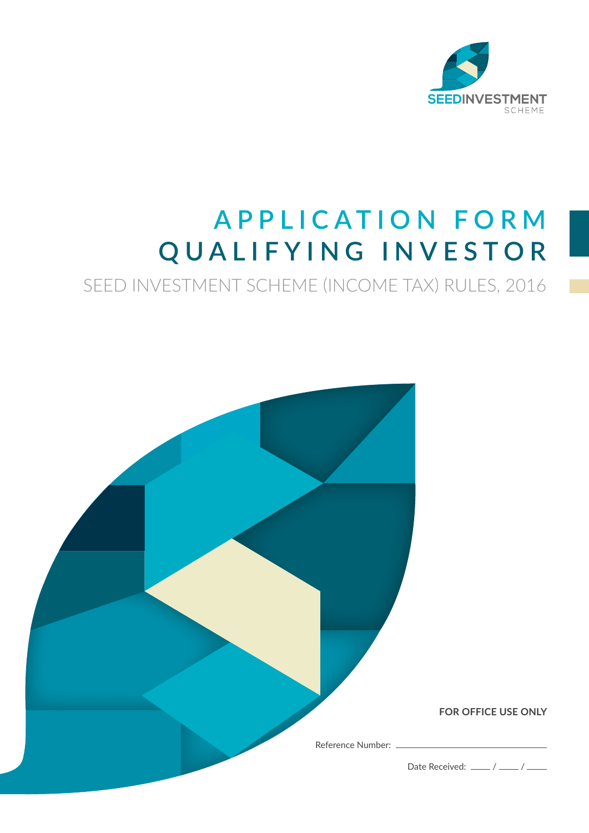

### **APPLICATION FORM QUALIFYING INVESTOR**

SEED INVESTMENT SCHEME (INCOME TAX) RULES, 2016

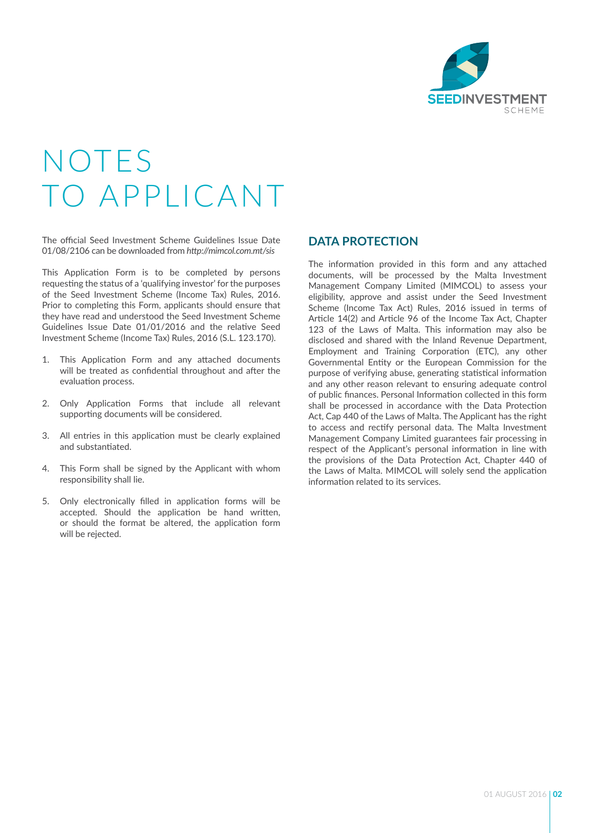

### NOTES O APPLICANT

The official Seed Investment Scheme Guidelines Issue Date 01/08/2106 can be downloaded from *http://mimcol.com.mt/sis*

This Application Form is to be completed by persons requesting the status of a 'qualifying investor' for the purposes of the Seed Investment Scheme (Income Tax) Rules, 2016. Prior to completing this Form, applicants should ensure that they have read and understood the Seed Investment Scheme Guidelines Issue Date 01/01/2016 and the relative Seed Investment Scheme (Income Tax) Rules, 2016 (S.L. 123.170).

- 1. This Application Form and any attached documents will be treated as confidential throughout and after the evaluation process.
- 2. Only Application Forms that include all relevant supporting documents will be considered.
- 3. All entries in this application must be clearly explained and substantiated.
- 4. This Form shall be signed by the Applicant with whom responsibility shall lie.
- 5. Only electronically filled in application forms will be accepted. Should the application be hand written, or should the format be altered, the application form will be rejected.

#### **DATA PROTECTION**

The information provided in this form and any attached documents, will be processed by the Malta Investment Management Company Limited (MIMCOL) to assess your eligibility, approve and assist under the Seed Investment Scheme (Income Tax Act) Rules, 2016 issued in terms of Article 14(2) and Article 96 of the Income Tax Act, Chapter 123 of the Laws of Malta. This information may also be disclosed and shared with the Inland Revenue Department, Employment and Training Corporation (ETC), any other Governmental Entity or the European Commission for the purpose of verifying abuse, generating statistical information and any other reason relevant to ensuring adequate control of public finances. Personal Information collected in this form shall be processed in accordance with the Data Protection Act, Cap 440 of the Laws of Malta. The Applicant has the right to access and rectify personal data. The Malta Investment Management Company Limited guarantees fair processing in respect of the Applicant's personal information in line with the provisions of the Data Protection Act, Chapter 440 of the Laws of Malta. MIMCOL will solely send the application information related to its services.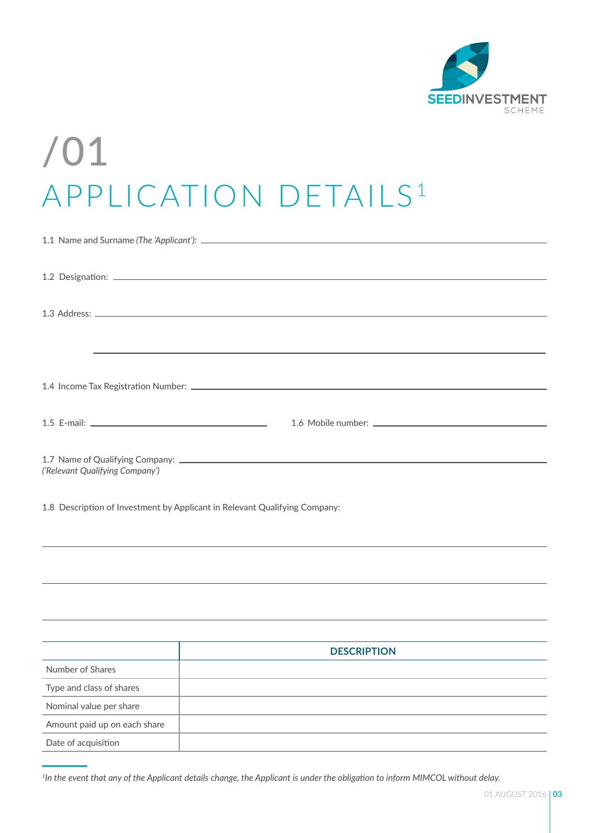

# /01 APPLICATION DETAILS<sup>1</sup>

|                                                                            | $1.3$ Address: $\_\_$                                                                                                                                                                                                         |  |  |
|----------------------------------------------------------------------------|-------------------------------------------------------------------------------------------------------------------------------------------------------------------------------------------------------------------------------|--|--|
|                                                                            |                                                                                                                                                                                                                               |  |  |
|                                                                            | ,我们也不会有什么。""我们的人,我们也不会有什么?""我们的人,我们也不会有什么?""我们的人,我们也不会有什么?""我们的人,我们也不会有什么?""我们的人                                                                                                                                              |  |  |
|                                                                            |                                                                                                                                                                                                                               |  |  |
|                                                                            |                                                                                                                                                                                                                               |  |  |
|                                                                            |                                                                                                                                                                                                                               |  |  |
|                                                                            |                                                                                                                                                                                                                               |  |  |
|                                                                            |                                                                                                                                                                                                                               |  |  |
|                                                                            |                                                                                                                                                                                                                               |  |  |
| ('Relevant Qualifying Company')                                            |                                                                                                                                                                                                                               |  |  |
|                                                                            |                                                                                                                                                                                                                               |  |  |
| 1.8 Description of Investment by Applicant in Relevant Qualifying Company: |                                                                                                                                                                                                                               |  |  |
|                                                                            |                                                                                                                                                                                                                               |  |  |
|                                                                            |                                                                                                                                                                                                                               |  |  |
|                                                                            |                                                                                                                                                                                                                               |  |  |
|                                                                            |                                                                                                                                                                                                                               |  |  |
|                                                                            |                                                                                                                                                                                                                               |  |  |
|                                                                            |                                                                                                                                                                                                                               |  |  |
|                                                                            |                                                                                                                                                                                                                               |  |  |
|                                                                            | <b>DESCRIPTION</b>                                                                                                                                                                                                            |  |  |
| Number of Shares                                                           | the control of the control of the control of the control of the control of the control of the control of the control of the control of the control of the control of the control of the control of the control of the control |  |  |
| Type and class of shares                                                   |                                                                                                                                                                                                                               |  |  |
| Nominal value per share                                                    |                                                                                                                                                                                                                               |  |  |
| Amount paid up on each share                                               |                                                                                                                                                                                                                               |  |  |
| Date of acquisition                                                        |                                                                                                                                                                                                                               |  |  |

*1In the event that any of the Applicant details change, the Applicant is under the obligation to inform MIMCOL without delay.*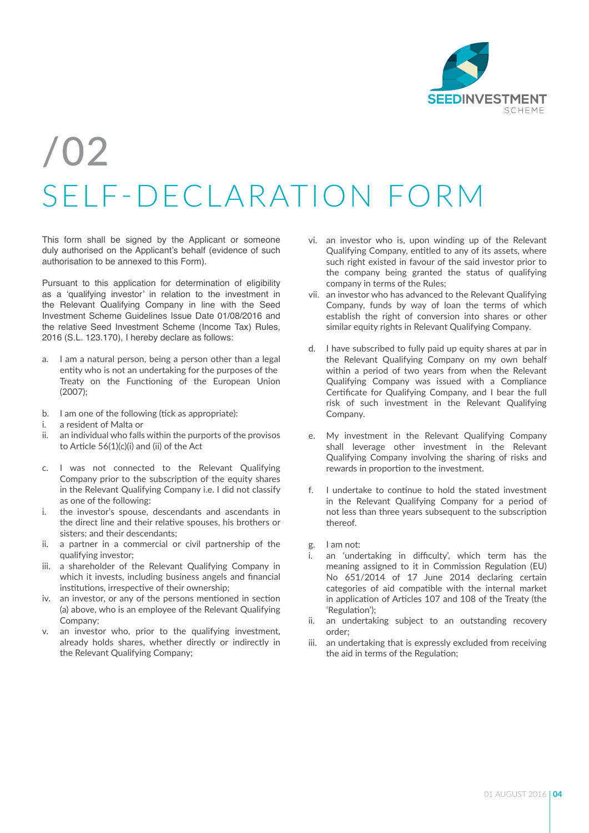

### /02 SELF-DECLARATION FORM

This form shall be signed by the Applicant or someone duly authorised on the Applicant's behalf (evidence of such authorisation to be annexed to this Form).

Pursuant to this application for determination of eligibility as a 'qualifying investor' in relation to the investment in the Relevant Qualifying Company in line with the Seed Investment Scheme Guidelines Issue Date 01/08/2016 and the relative Seed Investment Scheme (Income Tax) Rules, 2016 (S.L. 123.170), I hereby declare as follows:

- a. I am a natural person, being a person other than a legal entity who is not an undertaking for the purposes of the Treaty on the Functioning of the European Union (2007);
- b. I am one of the following (tick as appropriate):
- i. a resident of Malta or
- ii. an individual who falls within the purports of the provisos to Article 56(1)(c)(i) and (ii) of the Act
- c. I was not connected to the Relevant Qualifying Company prior to the subscription of the equity shares in the Relevant Qualifying Company i.e. I did not classify as one of the following:
- i. the investor's spouse, descendants and ascendants in the direct line and their relative spouses, his brothers or sisters; and their descendants;
- ii. a partner in a commercial or civil partnership of the qualifying investor;
- iii. a shareholder of the Relevant Qualifying Company in which it invests, including business angels and financial institutions, irrespective of their ownership;
- iv. an investor, or any of the persons mentioned in section (a) above, who is an employee of the Relevant Qualifying Company;
- v. an investor who, prior to the qualifying investment, already holds shares, whether directly or indirectly in the Relevant Qualifying Company;
- vi. an investor who is, upon winding up of the Relevant Qualifying Company, entitled to any of its assets, where such right existed in favour of the said investor prior to the company being granted the status of qualifying company in terms of the Rules;
- vii. an investor who has advanced to the Relevant Qualifying Company, funds by way of loan the terms of which establish the right of conversion into shares or other similar equity rights in Relevant Qualifying Company.
- d. I have subscribed to fully paid up equity shares at par in the Relevant Qualifying Company on my own behalf within a period of two years from when the Relevant Qualifying Company was issued with a Compliance Certificate for Qualifying Company, and I bear the full risk of such investment in the Relevant Qualifying Company.
- e. My investment in the Relevant Qualifying Company shall leverage other investment in the Relevant Qualifying Company involving the sharing of risks and rewards in proportion to the investment.
- f. I undertake to continue to hold the stated investment in the Relevant Qualifying Company for a period of not less than three years subsequent to the subscription thereof.
- g. I am not:
- an 'undertaking in difficulty', which term has the meaning assigned to it in Commission Regulation (EU) No 651/2014 of 17 June 2014 declaring certain categories of aid compatible with the internal market in application of Articles 107 and 108 of the Treaty (the 'Regulation');
- ii. an undertaking subject to an outstanding recovery order;
- iii. an undertaking that is expressly excluded from receiving the aid in terms of the Regulation;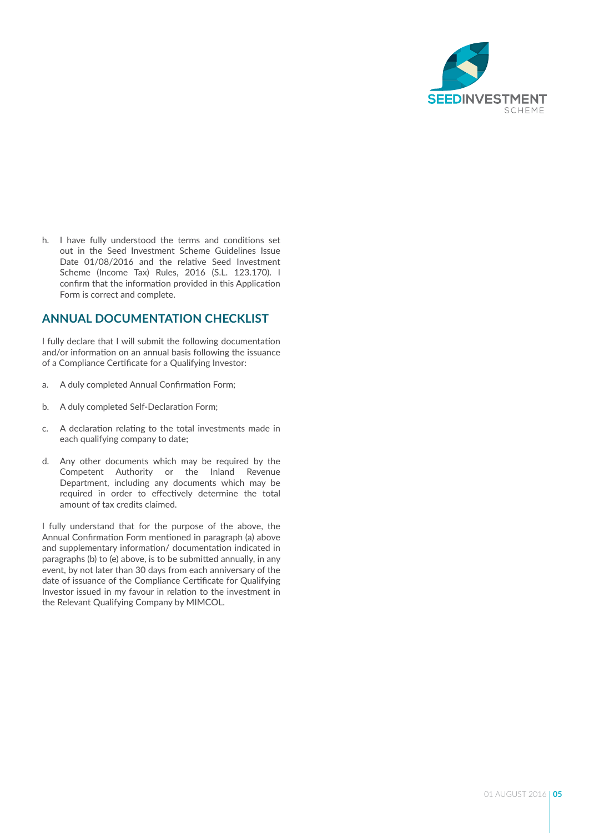

h. I have fully understood the terms and conditions set out in the Seed Investment Scheme Guidelines Issue Date 01/08/2016 and the relative Seed Investment Scheme (Income Tax) Rules, 2016 (S.L. 123.170). I confirm that the information provided in this Application Form is correct and complete.

#### **ANNUAL DOCUMENTATION CHECKLIST**

I fully declare that I will submit the following documentation and/or information on an annual basis following the issuance of a Compliance Certificate for a Qualifying Investor:

- a. A duly completed Annual Confirmation Form;
- b. A duly completed Self-Declaration Form;
- c. A declaration relating to the total investments made in each qualifying company to date;
- d. Any other documents which may be required by the Competent Authority or the Inland Revenue Department, including any documents which may be required in order to effectively determine the total amount of tax credits claimed.

I fully understand that for the purpose of the above, the Annual Confirmation Form mentioned in paragraph (a) above and supplementary information/ documentation indicated in paragraphs (b) to (e) above, is to be submitted annually, in any event, by not later than 30 days from each anniversary of the date of issuance of the Compliance Certificate for Qualifying Investor issued in my favour in relation to the investment in the Relevant Qualifying Company by MIMCOL.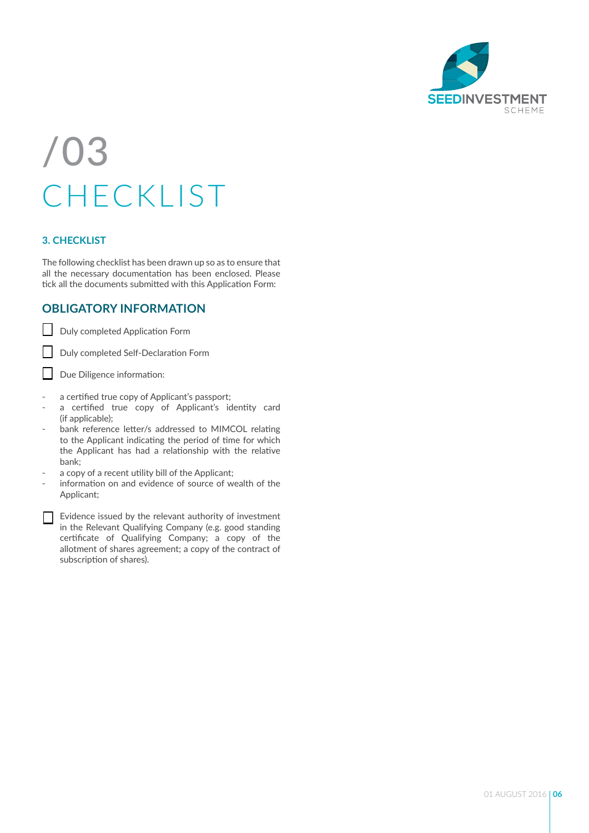

### /03 CHECKLIST

#### **3. CHECKLIST**

The following checklist has been drawn up so as to ensure that all the necessary documentation has been enclosed. Please tick all the documents submitted with this Application Form:

#### **OBLIGATORY INFORMATION**

Duly completed Application Form

Duly completed Self-Declaration Form

 $\Box$ Due Diligence information:

- a certified true copy of Applicant's passport;
- a certified true copy of Applicant's identity card (if applicable);
- bank reference letter/s addressed to MIMCOL relating to the Applicant indicating the period of time for which the Applicant has had a relationship with the relative bank;
- a copy of a recent utility bill of the Applicant;
- information on and evidence of source of wealth of the Applicant;
- Evidence issued by the relevant authority of investment in the Relevant Qualifying Company (e.g. good standing certificate of Qualifying Company; a copy of the allotment of shares agreement; a copy of the contract of subscription of shares).